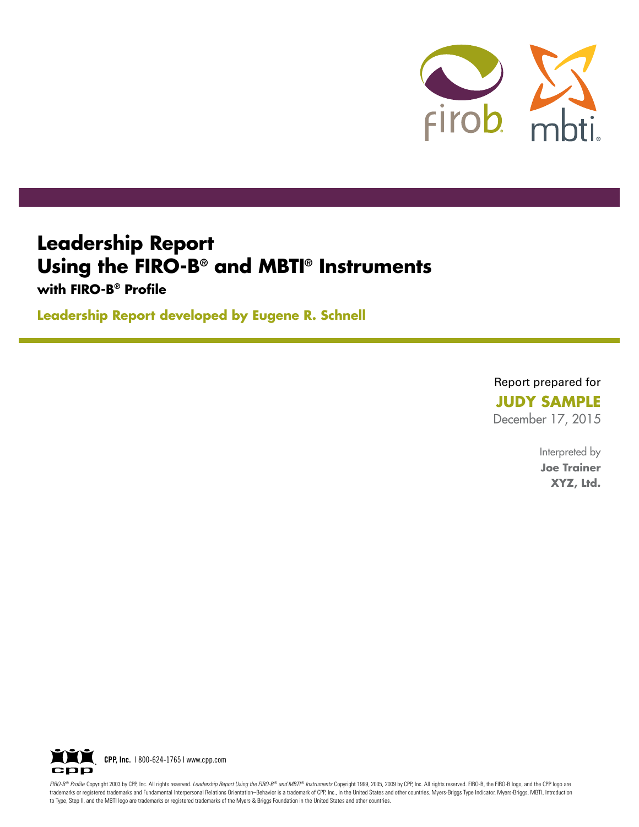

# **Leadership Report Using the FIRO-B® and MBTI® Instruments with FIRO-B® Profile**

**Leadership Report developed by Eugene R. Schnell**

Report prepared for **JUDY SAMPLE** December 17, 2015

> Interpreted by **Joe Trainer XYZ, Ltd.**



FIRO-B® Profile Copyright 2003 by CPP, Inc. All rights reserved. Leadership Report Using the FIRO-B® and MBTI® Instruments Copyright 1999, 2005, 2009 by CPP, Inc. All rights reserved. FIRO-B. the FIRO-B logo, and the CPP l trademarks or registered trademarks and Fundamental Interpersonal Relations Orientation-Behavior is a trademark of CPP, Inc., in the United States and other countries. Myers-Briggs Type Indicator, Myers-Briggs, MBTI, Intro to Type, Step II, and the MBTI logo are trademarks or registered trademarks of the Myers & Briggs Foundation in the United States and other countries.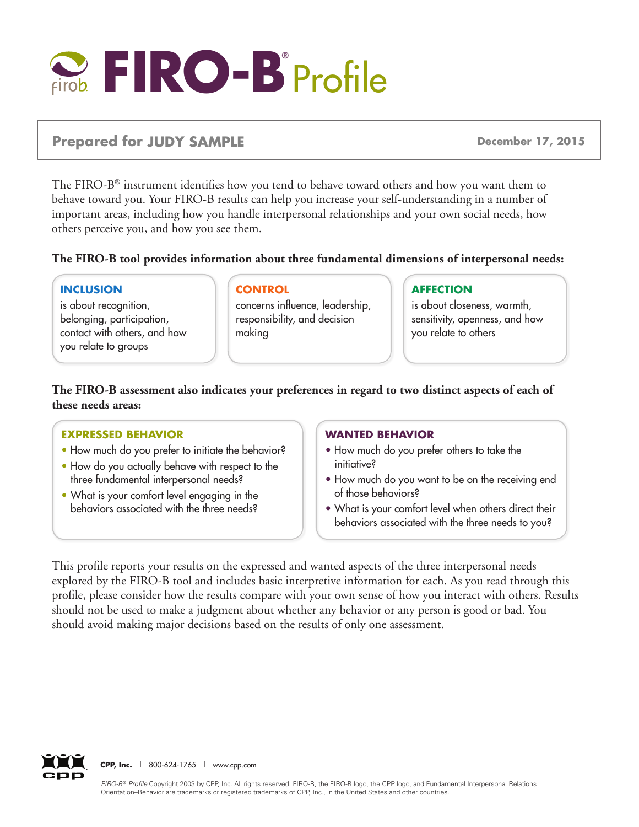

## **Prepared for JUDY SAMPLE** December 17, 2015

The FIRO-B® instrument identifies how you tend to behave toward others and how you want them to behave toward you. Your FIRO-B results can help you increase your self-understanding in a number of important areas, including how you handle interpersonal relationships and your own social needs, how others perceive you, and how you see them.

### **The FIRO-B tool provides information about three fundamental dimensions of interpersonal needs:**

## **Inclusion**

is about recognition, belonging, participation, contact with others, and how you relate to groups

## **Control**

concerns influence, leadership, responsibility, and decision making

### **Affection**

is about closeness, warmth, sensitivity, openness, and how you relate to others

**The FIRO-B assessment also indicates your preferences in regard to two distinct aspects of each of these needs areas:**

### **Expressed behavior**

- How much do you prefer to initiate the behavior?
- How do you actually behave with respect to the three fundamental interpersonal needs?
- What is your comfort level engaging in the behaviors associated with the three needs?

### **Wanted behavior**

- How much do you prefer others to take the initiative?
- How much do you want to be on the receiving end of those behaviors?
- What is your comfort level when others direct their behaviors associated with the three needs to you?

This profile reports your results on the expressed and wanted aspects of the three interpersonal needs explored by the FIRO-B tool and includes basic interpretive information for each. As you read through this profile, please consider how the results compare with your own sense of how you interact with others. Results should not be used to make a judgment about whether any behavior or any person is good or bad. You should avoid making major decisions based on the results of only one assessment.



**CPP, Inc.** | 800-624-1765 | www.cpp.com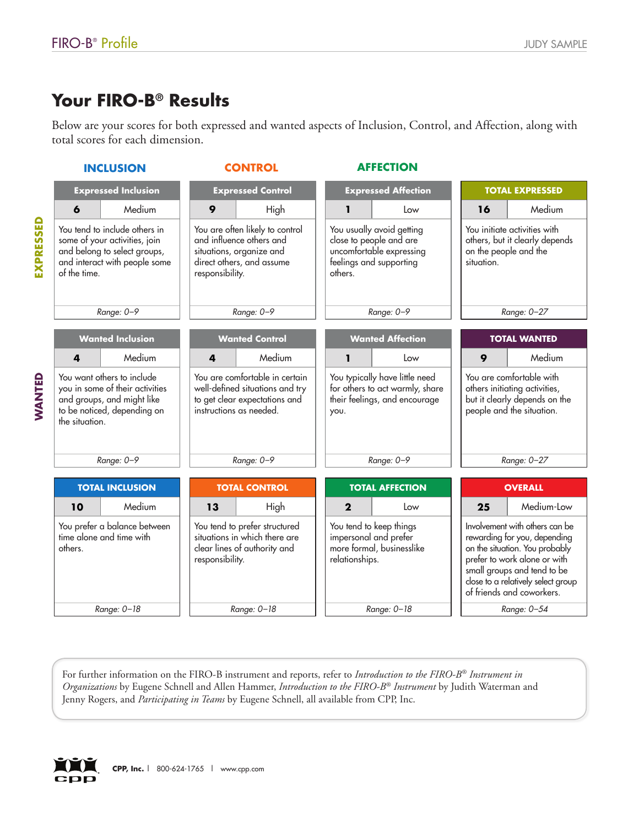# **Your FIRO-B® Results**

|               | FIRO-B <sup>®</sup> Profile                                                                                                                                                                                                                                                                |                                                                                                                               |                                                                                                                        | <b>JUDY SAMPLE</b>                                                                                                                                                                                                                 |  |
|---------------|--------------------------------------------------------------------------------------------------------------------------------------------------------------------------------------------------------------------------------------------------------------------------------------------|-------------------------------------------------------------------------------------------------------------------------------|------------------------------------------------------------------------------------------------------------------------|------------------------------------------------------------------------------------------------------------------------------------------------------------------------------------------------------------------------------------|--|
|               | Your FIRO-B <sup>®</sup> Results<br>total scores for each dimension.                                                                                                                                                                                                                       | Below are your scores for both expressed and wanted aspects of Inclusion, Control, and Affection, along with                  |                                                                                                                        |                                                                                                                                                                                                                                    |  |
|               | <b>INCLUSION</b>                                                                                                                                                                                                                                                                           | <b>CONTROL</b>                                                                                                                | <b>AFFECTION</b>                                                                                                       |                                                                                                                                                                                                                                    |  |
|               | <b>Expressed Inclusion</b>                                                                                                                                                                                                                                                                 | <b>Expressed Control</b>                                                                                                      | <b>Expressed Affection</b>                                                                                             | <b>TOTAL EXPRESSED</b>                                                                                                                                                                                                             |  |
|               | Medium<br>6                                                                                                                                                                                                                                                                                | 9<br>High                                                                                                                     | L<br>Low                                                                                                               | Medium<br>16                                                                                                                                                                                                                       |  |
| EXPRESSED     | You tend to include others in<br>You are often likely to control<br>and influence others and<br>some of your activities, join<br>and belong to select groups,<br>situations, organize and<br>and interact with people some<br>direct others, and assume<br>of the time.<br>responsibility. |                                                                                                                               | You usually avoid getting<br>close to people and are<br>uncomfortable expressing<br>feelings and supporting<br>others. | You initiate activities with<br>others, but it clearly depends<br>on the people and the<br>situation.                                                                                                                              |  |
|               | Range: 0-9                                                                                                                                                                                                                                                                                 | Range: 0-9                                                                                                                    | Range: 0-9                                                                                                             | Range: 0-27                                                                                                                                                                                                                        |  |
|               | <b>Wanted Inclusion</b>                                                                                                                                                                                                                                                                    | <b>Wanted Control</b>                                                                                                         | <b>Wanted Affection</b>                                                                                                | <b>TOTAL WANTED</b>                                                                                                                                                                                                                |  |
|               | Medium<br>4                                                                                                                                                                                                                                                                                | Medium<br>4                                                                                                                   | L<br>Low                                                                                                               | Medium<br>9                                                                                                                                                                                                                        |  |
| <b>MANTED</b> | You want others to include<br>you in some of their activities<br>and groups, and might like<br>to be noticed, depending on<br>the situation.                                                                                                                                               | You are comfortable in certain<br>well-defined situations and try<br>to get clear expectations and<br>instructions as needed. | You typically have little need<br>for others to act warmly, share<br>their feelings, and encourage<br>you.             | You are comfortable with<br>others initiating activities,<br>but it clearly depends on the<br>people and the situation.                                                                                                            |  |
|               | Range: 0-9                                                                                                                                                                                                                                                                                 | Range: 0-9                                                                                                                    | Range: 0-9                                                                                                             | Range: 0-27                                                                                                                                                                                                                        |  |
|               | <b>TOTAL INCLUSION</b>                                                                                                                                                                                                                                                                     | <b>TOTAL CONTROL</b>                                                                                                          | <b>TOTAL AFFECTION</b>                                                                                                 | <b>OVERALL</b>                                                                                                                                                                                                                     |  |
|               | Medium<br>10                                                                                                                                                                                                                                                                               | High<br>13                                                                                                                    | $\mathbf{2}$<br>Low                                                                                                    | Medium-Low<br>25                                                                                                                                                                                                                   |  |
|               | You prefer a balance between<br>time alone and time with<br>others.                                                                                                                                                                                                                        | You tend to prefer structured<br>situations in which there are<br>clear lines of authority and<br>responsibility.             | You tend to keep things<br>impersonal and prefer<br>more formal, businesslike<br>relationships.                        | Involvement with others can be<br>rewarding for you, depending<br>on the situation. You probably<br>prefer to work alone or with<br>small groups and tend to be<br>close to a relatively select group<br>of friends and coworkers. |  |
|               | Range: 0-18                                                                                                                                                                                                                                                                                | Range: 0-18                                                                                                                   | Range: 0-18                                                                                                            | Range: 0-54                                                                                                                                                                                                                        |  |

For further information on the FIRO-B instrument and reports, refer to *Introduction to the FIRO-B® Instrument in Organizations* by Eugene Schnell and Allen Hammer, *Introduction to the FIRO-B® Instrument* by Judith Waterman and Jenny Rogers, and *Participating in Teams* by Eugene Schnell, all available from CPP, Inc.

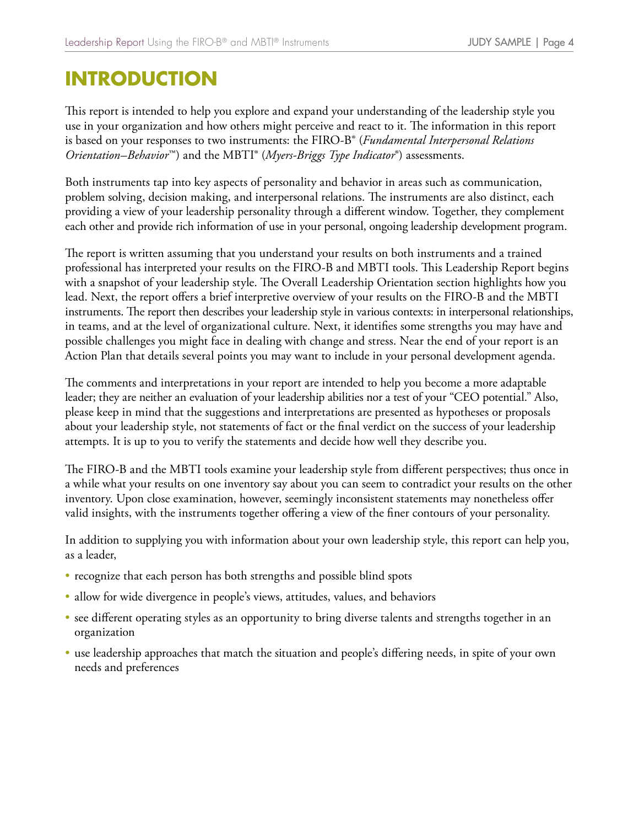# **Introduction**

This report is intended to help you explore and expand your understanding of the leadership style you use in your organization and how others might perceive and react to it. The information in this report is based on your responses to two instruments: the FIRO-B® (*Fundamental Interpersonal Relations Orientation–Behavior*™) and the MBTI® (*Myers-Briggs Type Indicator*®) assessments.

Both instruments tap into key aspects of personality and behavior in areas such as communication, problem solving, decision making, and interpersonal relations. The instruments are also distinct, each providing a view of your leadership personality through a different window. Together, they complement each other and provide rich information of use in your personal, ongoing leadership development program.

The report is written assuming that you understand your results on both instruments and a trained professional has interpreted your results on the FIRO-B and MBTI tools. This Leadership Report begins with a snapshot of your leadership style. The Overall Leadership Orientation section highlights how you lead. Next, the report offers a brief interpretive overview of your results on the FIRO-B and the MBTI instruments. The report then describes your leadership style in various contexts: in interpersonal relationships, in teams, and at the level of organizational culture. Next, it identifies some strengths you may have and possible challenges you might face in dealing with change and stress. Near the end of your report is an Action Plan that details several points you may want to include in your personal development agenda.

The comments and interpretations in your report are intended to help you become a more adaptable leader; they are neither an evaluation of your leadership abilities nor a test of your "CEO potential." Also, please keep in mind that the suggestions and interpretations are presented as hypotheses or proposals about your leadership style, not statements of fact or the final verdict on the success of your leadership attempts. It is up to you to verify the statements and decide how well they describe you.

The FIRO-B and the MBTI tools examine your leadership style from different perspectives; thus once in a while what your results on one inventory say about you can seem to contradict your results on the other inventory. Upon close examination, however, seemingly inconsistent statements may nonetheless offer valid insights, with the instruments together offering a view of the finer contours of your personality.

In addition to supplying you with information about your own leadership style, this report can help you, as a leader,

- recognize that each person has both strengths and possible blind spots
- allow for wide divergence in people's views, attitudes, values, and behaviors
- see different operating styles as an opportunity to bring diverse talents and strengths together in an organization
- use leadership approaches that match the situation and people's differing needs, in spite of your own needs and preferences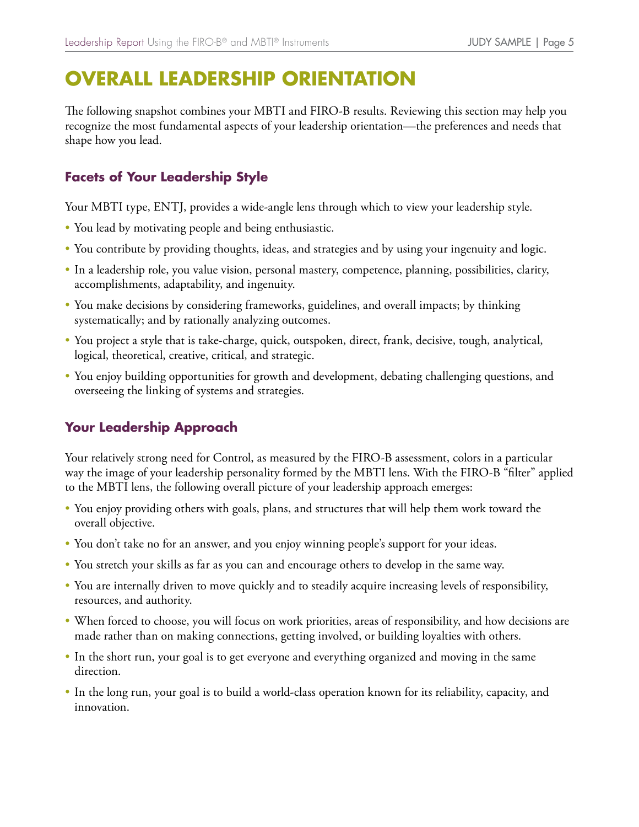# **overall leadership orientation**

The following snapshot combines your MBTI and FIRO-B results. Reviewing this section may help you recognize the most fundamental aspects of your leadership orientation—the preferences and needs that shape how you lead. **COVERALL LEADERS**<br>
The following snapshot combines ye<br>
recognize the most fundamental asp<br>
shape how you lead.<br> **Facets of Your Leadership**<br>
Your MBTI type, ENTJ, provides a<br>
Your MBTI type, ENTJ, provides a<br>
You contribu

## **Facets of Your Leadership Style**

Your MBTI type, ENTJ, provides a wide-angle lens through which to view your leadership style.

- You lead by motivating people and being enthusiastic.
- You contribute by providing thoughts, ideas, and strategies and by using your ingenuity and logic.
- In a leadership role, you value vision, personal mastery, competence, planning, possibilities, clarity, accomplishments, adaptability, and ingenuity.
- You make decisions by considering frameworks, guidelines, and overall impacts; by thinking systematically; and by rationally analyzing outcomes.
- You project a style that is take-charge, quick, outspoken, direct, frank, decisive, tough, analytical, logical, theoretical, creative, critical, and strategic.
- You enjoy building opportunities for growth and development, debating challenging questions, and overseeing the linking of systems and strategies.

Your relatively strong need for Control, as measured by the FIRO-B assessment, colors in a particular way the image of your leadership personality formed by the MBTI lens. With the FIRO-B "filter" applied to the MBTI lens, the following overall picture of your leadership approach emerges:

- You enjoy providing others with goals, plans, and structures that will help them work toward the overall objective.
- You don't take no for an answer, and you enjoy winning people's support for your ideas.
- You stretch your skills as far as you can and encourage others to develop in the same way.
- You are internally driven to move quickly and to steadily acquire increasing levels of responsibility, resources, and authority.
- When forced to choose, you will focus on work priorities, areas of responsibility, and how decisions are made rather than on making connections, getting involved, or building loyalties with others.
- In the short run, your goal is to get everyone and everything organized and moving in the same direction.
- In the long run, your goal is to build a world-class operation known for its reliability, capacity, and innovation.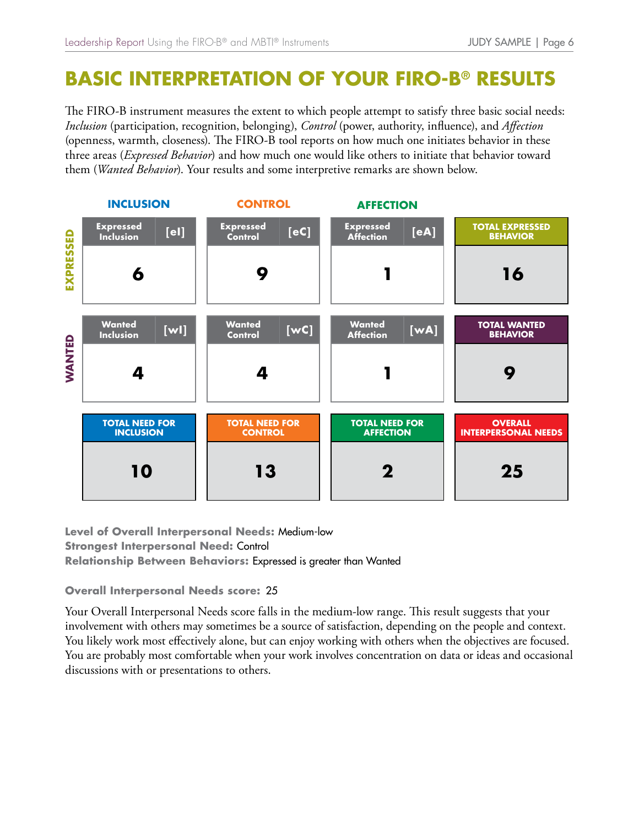# **BASIC INTERPRETATION OF YOUR FIRO-B® RESULTS**

The FIRO-B instrument measures the extent to which people attempt to satisfy three basic social needs: *Inclusion* (participation, recognition, belonging), *Control* (power, authority, influence), and *Affection* (openness, warmth, closeness). The FIRO-B tool reports on how much one initiates behavior in these three areas (*Expressed Behavior*) and how much one would like others to initiate that behavior toward them (*Wanted Behavior*). Your results and some interpretive remarks are shown below. and M<br> **Control**<br> **Control**<br> **CON**<br> **CON**<br> **CON**<br> **CON**<br> **CON**<br> **CON Algebe 12 Constant Constant Constant Constant Constant Constant Constant Constant Constant Constant Constant Constant Constant Constant Constant Constant Constant Constant Constant Constant Constant Constant Constant Cons TOTAL EXPRESSED BEFORE**<br> **BEFORE**<br>
Sic social<br>
ration in the avior town<br> **BEHAVIOR IC INTERPRETATION OF YOUR FIF**<br> **IC INTERPRETATION OF YOUR FIF**<br>
D-B instrument measures the extent to which people attempt to<br>
(participation, recognition, belonging), *Control* (power, authority<br>
15. warmth, closeness).



**Level of Overall Interpersonal Needs:** Medium-low **Strongest Interpersonal Need:** Control **Relationship Between Behaviors:** Expressed is greater than Wanted

**Overall Interpersonal Needs score:** 25

Your Overall Interpersonal Needs score falls in the medium-low range. This result suggests that your involvement with others may sometimes be a source of satisfaction, depending on the people and context. You likely work most effectively alone, but can enjoy working with others when the objectives are focused. You are probably most comfortable when your work involves concentration on data or ideas and occasional discussions with or presentations to others.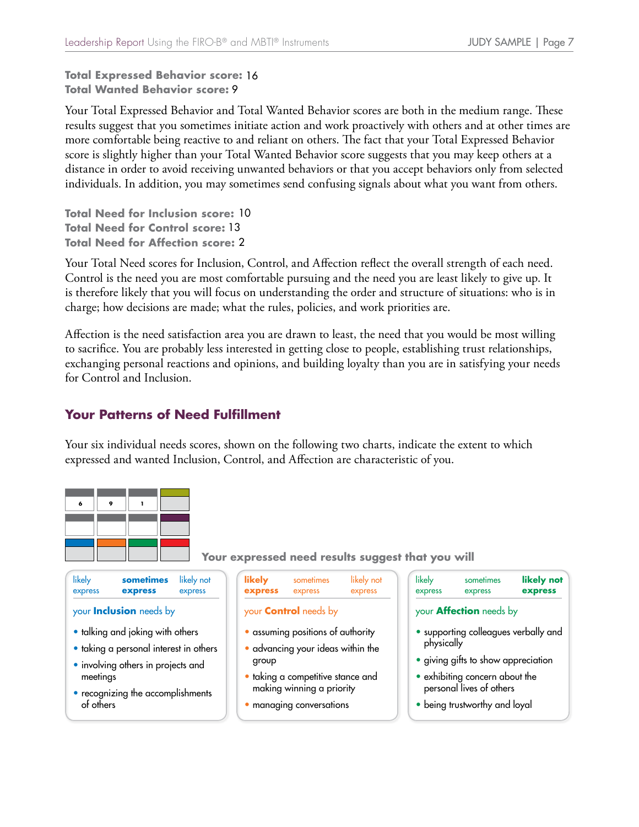**Total Expressed Behavior score:** 16 **Total Wanted Behavior score:** 9

Your Total Expressed Behavior and Total Wanted Behavior scores are both in the medium range. These results suggest that you sometimes initiate action and work proactively with others and at other times are more comfortable being reactive to and reliant on others. The fact that your Total Expressed Behavior score is slightly higher than your Total Wanted Behavior score suggests that you may keep others at a distance in order to avoid receiving unwanted behaviors or that you accept behaviors only from selected individuals. In addition, you may sometimes send confusing signals about what you want from others. **Example 12**<br> **Example 15 Expressed Behavior score:** 16<br> **Total Expressed Behavior score: 9**<br> **Your Total Expressed Behavior and Total Waresults suggest that you sometimes initiate ac<br>
more comfortable being reactive to an** Ship Report Using the FIRO-B<sup>®</sup> and MBTI<sup>®</sup> Instruments<br> **Expressed Behavior score: 16**<br>
Wanted Behavior score: 16<br>
Wanted Behavior score: 16<br>
Wanted Behavior score: 9<br>
Total Expressed Behavior and Total Wanted Behavior<br>
s Ship Report Using the FRO-8<sup>n</sup> and MSTP Instantons<br> **Expressed Behavior scores :** 16<br>
Warned Behavior scores : 16<br>
Warned Behavior scores : 16<br>
Warned Behavior scores are both in the mediann ran<br>
stagger that you sometimes

**Total Need for Inclusion score:** 10 **Total Need for Control score:** 13 **Total Need for Affection score:** 2

Your Total Need scores for Inclusion, Control, and Affection reflect the overall strength of each need. Control is the need you are most comfortable pursuing and the need you are least likely to give up. It is therefore likely that you will focus on understanding the order and structure of situations: who is in charge; how decisions are made; what the rules, policies, and work priorities are.

Affection is the need satisfaction area you are drawn to least, the need that you would be most willing to sacrifice. You are probably less interested in getting close to people, establishing trust relationships, exchanging personal reactions and opinions, and building loyalty than you are in satisfying your needs for Control and Inclusion.

Your six individual needs scores, shown on the following two charts, indicate the extent to which expressed and wanted Inclusion, Control, and Affection are characteristic of you.



likely **sometimes** likely not express **express** express

### your **Inclusion** needs by

- talking and joking with others
- taking a personal interest in others
- involving others in projects and meetings
- recognizing the accomplishments of others

**Your expressed need results suggest that you will**

### **likely** sometimes likely not **express** express express

- assuming positions of authority
- advancing your ideas within the group
- taking a competitive stance and making winning a priority
- managing conversations

### likely sometimes **likely not** express express **express**

- supporting colleagues verbally and physically
- giving gifts to show appreciation
- exhibiting concern about the personal lives of others
- being trustworthy and loyal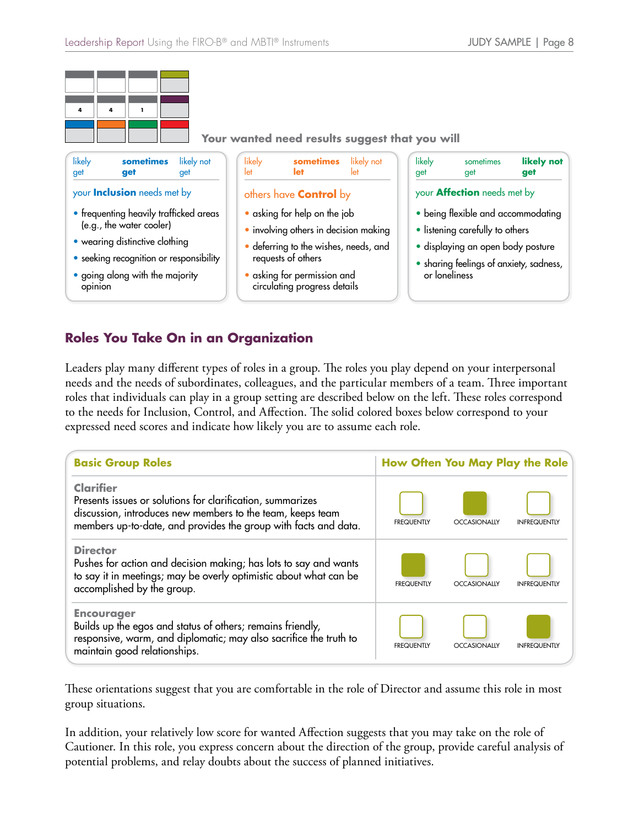

| your <b>Inclusion</b> needs met by                                      | others have <b>Control</b> by                  | your <b>Affection</b> needs met by              |
|-------------------------------------------------------------------------|------------------------------------------------|-------------------------------------------------|
| likely<br>likely<br>sometimes<br>likely not<br>let<br>get<br>get<br>get | likely not<br>sometimes<br>let<br>let          | likely<br>lik<br>sometimes<br>get<br>get<br>get |
| $\overline{a}$<br>4<br>ı                                                | Your wanted need results suggest that you will |                                                 |
| eadership Report Using the FIRO-B® and MBTI® Instruments                |                                                | <b>JUDY SAMPLE</b>                              |

- frequenting heavily trafficked areas (e.g., the water cooler)
- wearing distinctive clothing
- seeking recognition or responsibility
- going along with the majority opinion

- asking for help on the job
- involving others in decision making
- deferring to the wishes, needs, and requests of others
- asking for permission and circulating progress details



- being flexible and accommodating
- listening carefully to others
- displaying an open body posture
- sharing feelings of anxiety, sadness, or loneliness

## **Roles You Take On in an Organization**

Leaders play many different types of roles in a group. The roles you play depend on your interpersonal needs and the needs of subordinates, colleagues, and the particular members of a team. Three important roles that individuals can play in a group setting are described below on the left. These roles correspond to the needs for Inclusion, Control, and Affection. The solid colored boxes below correspond to your expressed need scores and indicate how likely you are to assume each role. JUDY SAMPLE | Page<br> **Hourier You Will**<br>
Fikely sometimes likely not<br>
get get get<br>
your **Affection** needs met by<br>
• being flexible and accommodating<br>
• listening carefully to others<br>
• sharing feelings of anxiety, sadness,<br>

| <b>Basic Group Roles</b>                                                                                                                                                                                        |                   | How Often You May Play the Role |                     |
|-----------------------------------------------------------------------------------------------------------------------------------------------------------------------------------------------------------------|-------------------|---------------------------------|---------------------|
| <b>Clarifier</b><br>Presents issues or solutions for clarification, summarizes<br>discussion, introduces new members to the team, keeps team<br>members up-to-date, and provides the group with facts and data. | <b>FREQUENTLY</b> | <b>OCCASIONALLY</b>             | <b>INFREQUENTLY</b> |
| <b>Director</b><br>Pushes for action and decision making; has lots to say and wants<br>to say it in meetings; may be overly optimistic about what can be<br>accomplished by the group.                          | <b>FREQUENTLY</b> | <b>OCCASIONALLY</b>             | <b>INFREQUENTLY</b> |
| <b>Encourager</b><br>Builds up the egos and status of others; remains friendly,<br>responsive, warm, and diplomatic; may also sacrifice the truth to<br>maintain good relationships.                            | <b>FREQUENTLY</b> | <b>OCCASIONALLY</b>             | <b>INFREQUENTLY</b> |

These orientations suggest that you are comfortable in the role of Director and assume this role in most group situations.

In addition, your relatively low score for wanted Affection suggests that you may take on the role of Cautioner. In this role, you express concern about the direction of the group, provide careful analysis of potential problems, and relay doubts about the success of planned initiatives.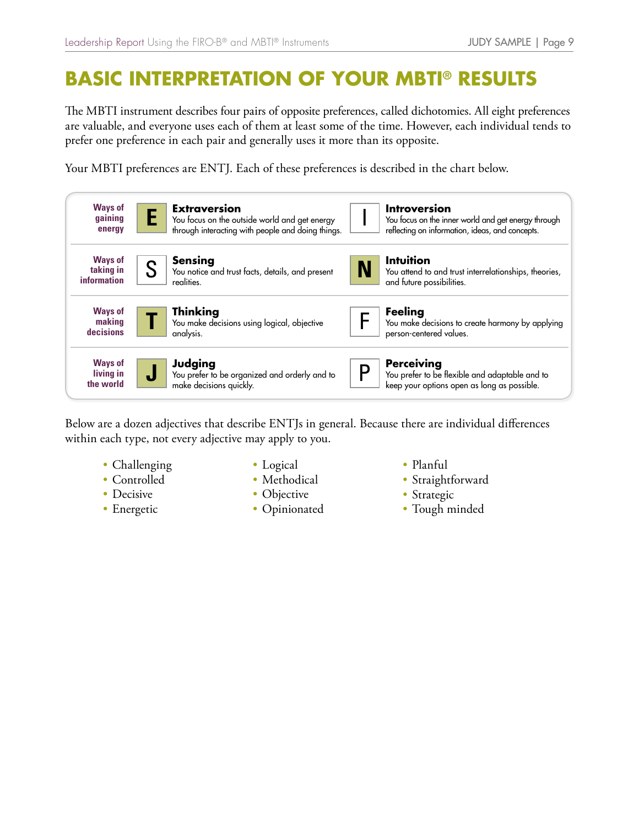# **BASIC INTERPRETATION OF YOUR MBTI® RESULTS**

The MBTI instrument describes four pairs of opposite preferences, called dichotomies. All eight preferences are valuable, and everyone uses each of them at least some of the time. However, each individual tends to prefer one preference in each pair and generally uses it more than its opposite.

Your MBTI preferences are ENTJ. Each of these preferences is described in the chart below.



Below are a dozen adjectives that describe ENTJs in general. Because there are individual differences within each type, not every adjective may apply to you.

- Challenging
- Controlled
- Decisive
- Energetic
- Logical
- Methodical
- Objective
- Opinionated
- Planful
- Straightforward
- Strategic
- Tough minded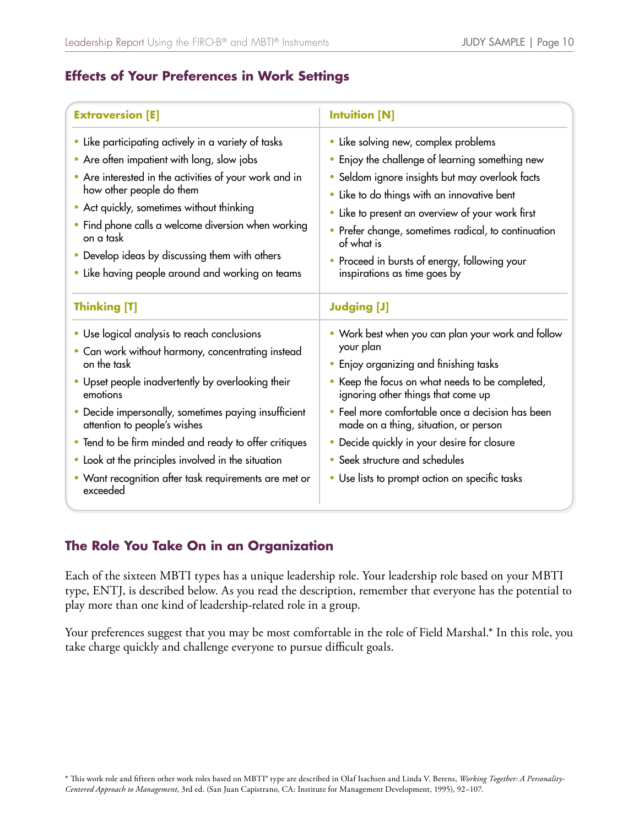## **Effects of Your Preferences in Work Settings**

| <b>Extraversion [E]</b>                                | <b>Intuition [N]</b>                                |
|--------------------------------------------------------|-----------------------------------------------------|
| • Like participating actively in a variety of tasks    | • Like solving new, complex problems                |
| • Are often impatient with long, slow jobs             | • Enjoy the challenge of learning something new     |
| • Are interested in the activities of your work and in | • Seldom ignore insights but may overlook facts     |
| how other people do them                               | • Like to do things with an innovative bent         |
| • Act quickly, sometimes without thinking              | • Like to present an overview of your work first    |
| • Find phone calls a welcome diversion when working    | • Prefer change, sometimes radical, to continuation |
| on a task                                              | of what is                                          |
| • Develop ideas by discussing them with others         | • Proceed in bursts of energy, following your       |
| • Like having people around and working on teams       | inspirations as time goes by                        |
| <b>Thinking [T]</b>                                    | <b>Judging [J]</b>                                  |
| • Use logical analysis to reach conclusions            | • Work best when you can plan your work and follow  |
| • Can work without harmony, concentrating instead      | your plan                                           |
| on the task                                            | • Enjoy organizing and finishing tasks              |
| • Upset people inadvertently by overlooking their      | • Keep the focus on what needs to be completed,     |
| emotions                                               | ignoring other things that come up                  |
| • Decide impersonally, sometimes paying insufficient   | • Feel more comfortable once a decision has been    |
| attention to people's wishes                           | made on a thing, situation, or person               |
| • Tend to be firm minded and ready to offer critiques  | • Decide quickly in your desire for closure         |
| • Look at the principles involved in the situation     | • Seek structure and schedules                      |
| • Want recognition after task requirements are met or  | • Use lists to prompt action on specific tasks      |

## **The Role You Take On in an Organization**

Each of the sixteen MBTI types has a unique leadership role. Your leadership role based on your MBTI type, ENTJ, is described below. As you read the description, remember that everyone has the potential to play more than one kind of leadership-related role in a group.

Your preferences suggest that you may be most comfortable in the role of Field Marshal.\* In this role, you take charge quickly and challenge everyone to pursue difficult goals.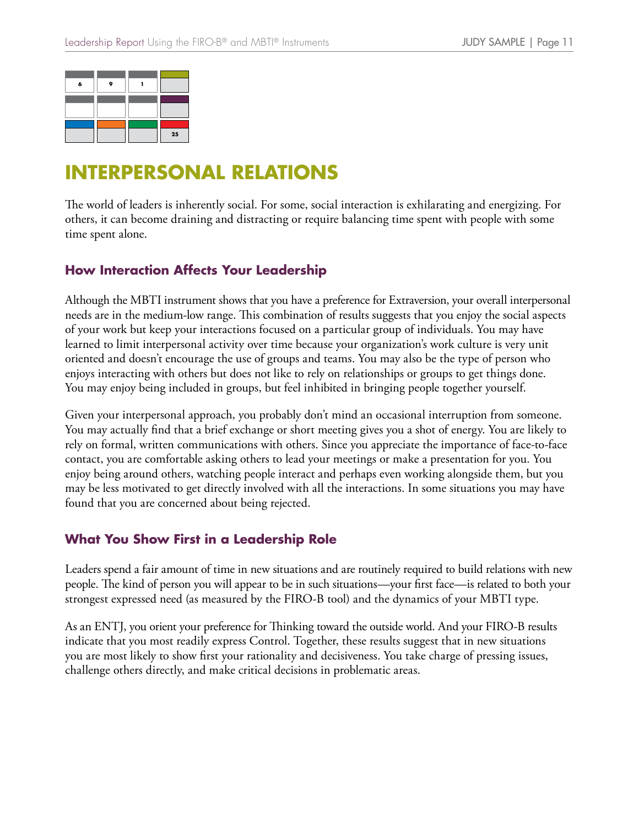

The world of leaders is inherently social. For some, social interaction is exhilarating and energizing. For others, it can become draining and distracting or require balancing time spent with people with some time spent alone. **How Interaction Affects Your Leadership**<br> **How Interaction Affects Your Leadership**<br>
How Interaction Affects Your Leadership<br>
How Interaction Affects Your Leadership

Although the MBTI instrument shows that you have a preference for Extraversion, your overall interpersonal needs are in the medium-low range. This combination of results suggests that you enjoy the social aspects of your work but keep your interactions focused on a particular group of individuals. You may have learned to limit interpersonal activity over time because your organization's work culture is very unit oriented and doesn't encourage the use of groups and teams. You may also be the type of person who enjoys interacting with others but does not like to rely on relationships or groups to get things done. You may enjoy being included in groups, but feel inhibited in bringing people together yourself.

Given your interpersonal approach, you probably don't mind an occasional interruption from someone. You may actually find that a brief exchange or short meeting gives you a shot of energy. You are likely to rely on formal, written communications with others. Since you appreciate the importance of face-to-face contact, you are comfortable asking others to lead your meetings or make a presentation for you. You enjoy being around others, watching people interact and perhaps even working alongside them, but you may be less motivated to get directly involved with all the interactions. In some situations you may have found that you are concerned about being rejected.

## **What You Show First in a Leadership Role**

Leaders spend a fair amount of time in new situations and are routinely required to build relations with new people. The kind of person you will appear to be in such situations—your first face—is related to both your strongest expressed need (as measured by the FIRO-B tool) and the dynamics of your MBTI type.

As an ENTJ, you orient your preference for Thinking toward the outside world. And your FIRO-B results indicate that you most readily express Control. Together, these results suggest that in new situations you are most likely to show first your rationality and decisiveness. You take charge of pressing issues, challenge others directly, and make critical decisions in problematic areas.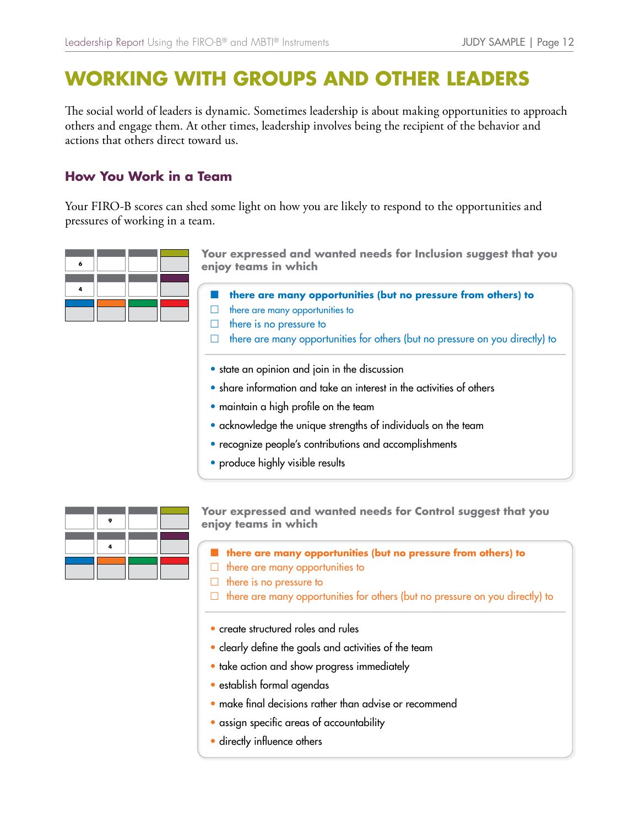# **WORKING WITH GROUPS AND OTHER**

The social world of leaders is dynamic. Sometimes leadership is about making opportunities to approach others and engage them. At other times, leadership involves being the recipient of the behavior and actions that others others and engage them. At other times, leadership involves being the recipient of the behavior and actions that others direct toward us.

Your FIRO-B scores can shed some light on how you are likely to respond to the opportunities and pressures of working in a team.

| RO-B <sup>®</sup> and MBTI® Instruments                                                                                                                       | JUDY SAMPLE   Page |
|---------------------------------------------------------------------------------------------------------------------------------------------------------------|--------------------|
| <b>TH GROUPS AND OTHER LEADERS</b>                                                                                                                            |                    |
| dynamic. Sometimes leadership is about making opportunities to approa<br>other times, leadership involves being the recipient of the behavior and<br>vard us. |                    |
| <b>leam</b>                                                                                                                                                   |                    |
| d some light on how you are likely to respond to the opportunities and<br>m.                                                                                  |                    |
| Your expressed and wanted needs for Inclusion suggest that you<br>enjoy teams in which                                                                        |                    |
| there are many opportunities (but no pressure from others) to<br>a sa sa<br>there are many opportunities to<br>$\Box$<br>there is no pressure to<br>ш         |                    |
| there are many opportunities for others (but no pressure on you directly) to<br>$\Box$                                                                        |                    |
| • state an opinion and join in the discussion                                                                                                                 |                    |
| • share information and take an interest in the activities of others<br>· maintain a high profile on the team                                                 |                    |
| • acknowledge the unique strengths of individuals on the team                                                                                                 |                    |
| • recognize people's contributions and accomplishments                                                                                                        |                    |
| • produce highly visible results                                                                                                                              |                    |
| Your expressed and wanted needs for Control suggest that you                                                                                                  |                    |

- state an opinion and join in the discussion
- share information and take an interest in the activities of others
- maintain a high profile on the team
- acknowledge the unique strengths of individuals on the team
- recognize people's contributions and accomplishments
- produce highly visible results

**enjoy teams in which**

- **there are many opportunities (but no pressure from others) to**
- $\Box$  there are many opportunities to
- $\Box$  there is no pressure to
- $\Box$  there are many opportunities for others (but no pressure on you directly) to
- create structured roles and rules
- clearly define the goals and activities of the team
- take action and show progress immediately
- establish formal agendas
- make final decisions rather than advise or recommend
- assign specific areas of accountability
- directly influence others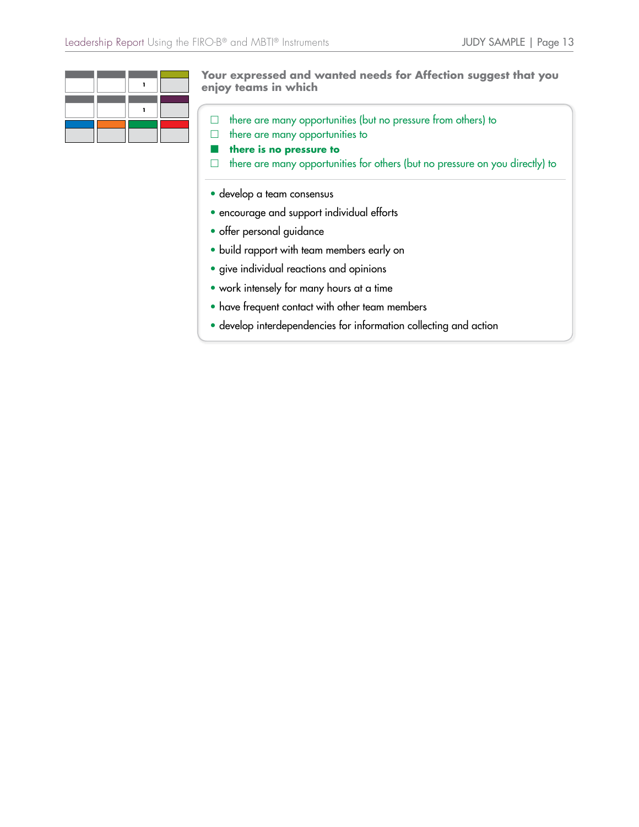**Your expressed and wanted needs for Affection suggest that you enjoy teams in which**

- $\Box$  there are many opportunities (but no pressure from others) to
- $\Box$  there are many opportunities to
- $**t**$  **there is no pressure to**
- $\Box$  there are many opportunities for others (but no pressure on you directly) to
- develop a team consensus
- encourage and support individual efforts
- offer personal guidance
- build rapport with team members early on
- give individual reactions and opinions
- work intensely for many hours at a time
- have frequent contact with other team members
- develop interdependencies for information collecting and action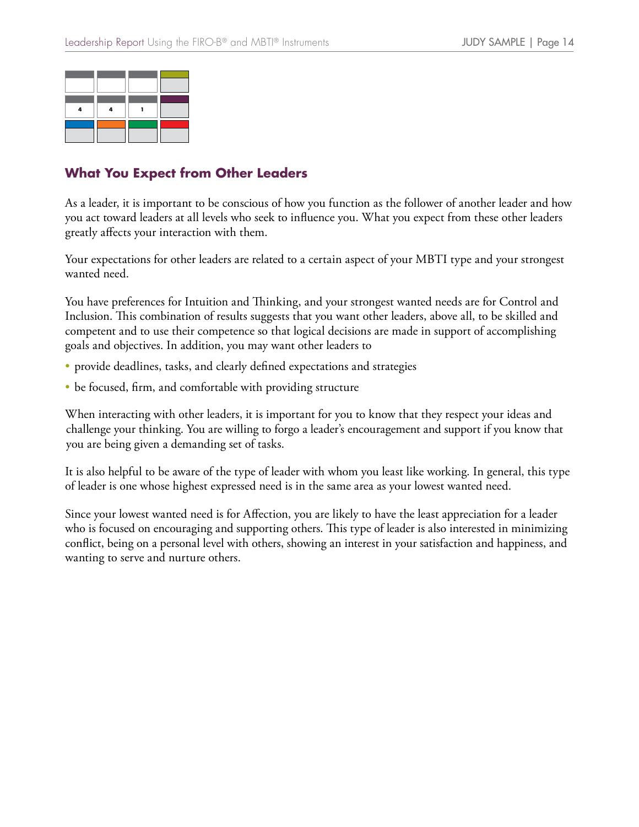## **What You Expect from Other Leaders**

As a leader, it is important to be conscious of how you function as the follower of another leader and how you act toward leaders at all levels who seek to influence you. What you expect from these other leaders greatly affects your interaction with them.

Your expectations for other leaders are related to a certain aspect of your MBTI type and your strongest wanted need.

You have preferences for Intuition and Thinking, and your strongest wanted needs are for Control and Inclusion. This combination of results suggests that you want other leaders, above all, to be skilled and competent and to use their competence so that logical decisions are made in support of accomplishing goals and objectives. In addition, you may want other leaders to

- provide deadlines, tasks, and clearly defined expectations and strategies
- be focused, firm, and comfortable with providing structure

When interacting with other leaders, it is important for you to know that they respect your ideas and challenge your thinking. You are willing to forgo a leader's encouragement and support if you know that you are being given a demanding set of tasks.

It is also helpful to be aware of the type of leader with whom you least like working. In general, this type of leader is one whose highest expressed need is in the same area as your lowest wanted need.

Since your lowest wanted need is for Affection, you are likely to have the least appreciation for a leader who is focused on encouraging and supporting others. This type of leader is also interested in minimizing conflict, being on a personal level with others, showing an interest in your satisfaction and happiness, and wanting to serve and nurture others.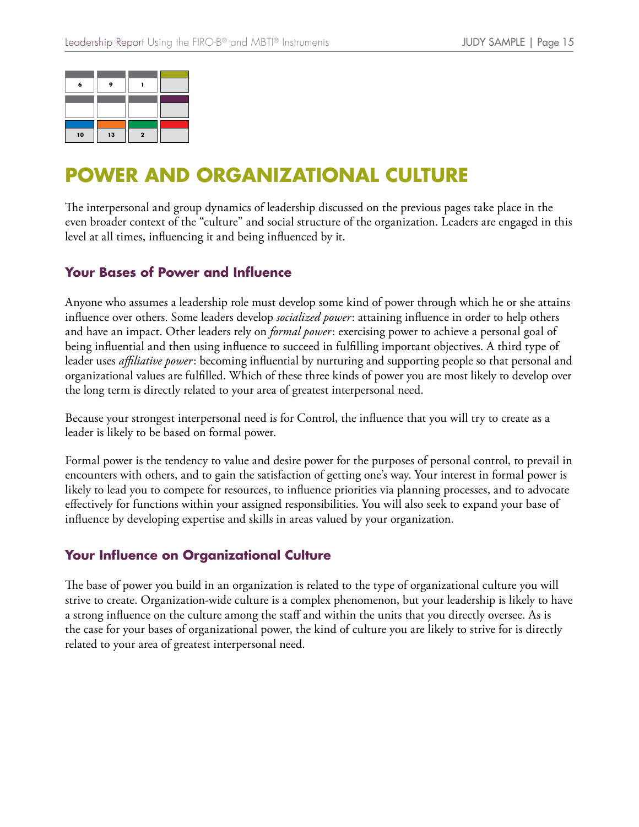|    |    |                         | Leadership Report Using the FIRO-B® and MBTI® Instruments |  |  | Jl |
|----|----|-------------------------|-----------------------------------------------------------|--|--|----|
|    |    |                         |                                                           |  |  |    |
| 6  | 9  | ı                       |                                                           |  |  |    |
|    |    |                         |                                                           |  |  |    |
| 10 | 13 | $\overline{\mathbf{2}}$ |                                                           |  |  |    |
|    |    |                         |                                                           |  |  |    |
|    |    |                         | <b>POWER AND ORGANIZATIONAL CULTURE</b>                   |  |  |    |

The interpersonal and group dynamics of leadership discussed on the previous pages take place in the even broader context of the "culture" and social structure of the organization. Leaders are engaged in this level at all times, influencing it and being influenced by it.

## **Your Bases of Power and Influence**

Anyone who assumes a leadership role must develop some kind of power through which he or she attains influence over others. Some leaders develop *socialized power*: attaining influence in order to help others and have an impact. Other leaders rely on *formal power*: exercising power to achieve a personal goal of being influential and then using influence to succeed in fulfilling important objectives. A third type of leader uses *affiliative power*: becoming influential by nurturing and supporting people so that personal and organizational values are fulfilled. Which of these three kinds of power you are most likely to develop over the long term is directly related to your area of greatest interpersonal need. **POWER AND ORGANIZATIC**<br> **Your Buse of the FIRO-B®** and MBTI® Instruments<br> **POWER AND ORGANIZATIC**<br>
The interpersonal and group dynamics of leadership diseven broader context of the "culture" and social structure<br>
even bro

Because your strongest interpersonal need is for Control, the influence that you will try to create as a leader is likely to be based on formal power.

Formal power is the tendency to value and desire power for the purposes of personal control, to prevail in encounters with others, and to gain the satisfaction of getting one's way. Your interest in formal power is likely to lead you to compete for resources, to influence priorities via planning processes, and to advocate effectively for functions within your assigned responsibilities. You will also seek to expand your base of influence by developing expertise and skills in areas valued by your organization.

The base of power you build in an organization is related to the type of organizational culture you will strive to create. Organization-wide culture is a complex phenomenon, but your leadership is likely to have a strong influence on the culture among the staff and within the units that you directly oversee. As is the case for your bases of organizational power, the kind of culture you are likely to strive for is directly related to your area of greatest interpersonal need.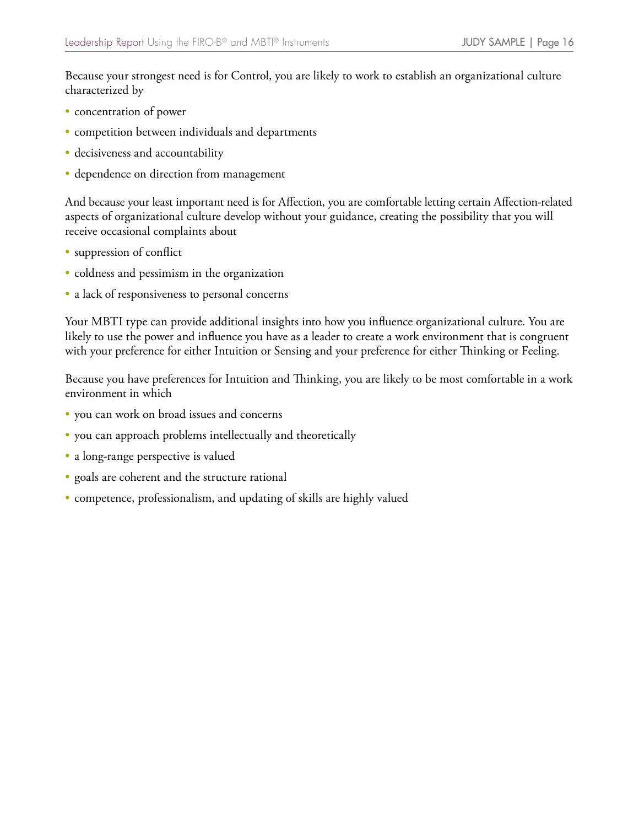Because your strongest need is for Control, you are likely to work to establish an organizational culture characterized by

- concentration of power
- competition between individuals and departments
- decisiveness and accountability
- dependence on direction from management

And because your least important need is for Affection, you are comfortable letting certain Affection-related aspects of organizational culture develop without your guidance, creating the possibility that you will receive occasional complaints about

- suppression of conflict
- coldness and pessimism in the organization
- a lack of responsiveness to personal concerns

Your MBTI type can provide additional insights into how you influence organizational culture. You are likely to use the power and influence you have as a leader to create a work environment that is congruent with your preference for either Intuition or Sensing and your preference for either Thinking or Feeling.

Because you have preferences for Intuition and Thinking, you are likely to be most comfortable in a work environment in which

- you can work on broad issues and concerns
- you can approach problems intellectually and theoretically
- a long-range perspective is valued
- goals are coherent and the structure rational
- competence, professionalism, and updating of skills are highly valued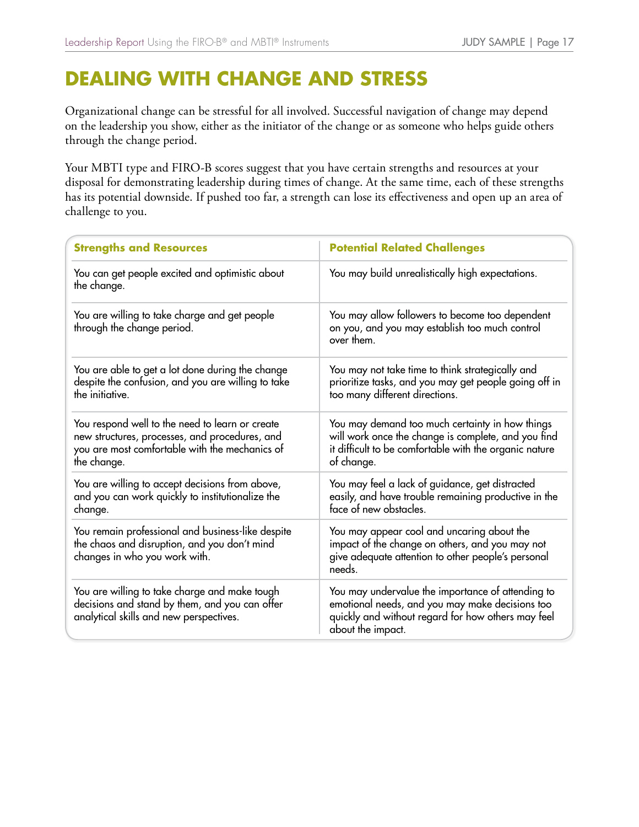# **DEALING WITH CHANGE AND STRESS**

Organizational change can be stressful for all involved. Successful navigation of change may depend on the leadership you show, either as the initiator of the change or as someone who helps guide others through the change period.

Your MBTI type and FIRO-B scores suggest that you have certain strengths and resources at your disposal for demonstrating leadership during times of change. At the same time, each of these strengths has its potential downside. If pushed too far, a strength can lose its effectiveness and open up an area of challenge to you. **Potential Related Challenges**<br> **Potential Related Challenges**<br> **Potential Related Challenges**<br> **Potential Related Challenges** 

| <b>Strengths and Resources</b>                                                                                                                                     | <b>Potential Related Challenges</b>                                                                                                                                             |
|--------------------------------------------------------------------------------------------------------------------------------------------------------------------|---------------------------------------------------------------------------------------------------------------------------------------------------------------------------------|
| You can get people excited and optimistic about<br>the change.                                                                                                     | You may build unrealistically high expectations.                                                                                                                                |
| You are willing to take charge and get people<br>through the change period.                                                                                        | You may allow followers to become too dependent<br>on you, and you may establish too much control<br>over them.                                                                 |
| You are able to get a lot done during the change<br>despite the confusion, and you are willing to take<br>the initiative.                                          | You may not take time to think strategically and<br>prioritize tasks, and you may get people going off in<br>too many different directions.                                     |
| You respond well to the need to learn or create<br>new structures, processes, and procedures, and<br>you are most comfortable with the mechanics of<br>the change. | You may demand too much certainty in how things<br>will work once the change is complete, and you find<br>it difficult to be comfortable with the organic nature<br>of change.  |
| You are willing to accept decisions from above,<br>and you can work quickly to institutionalize the<br>change.                                                     | You may feel a lack of guidance, get distracted<br>easily, and have trouble remaining productive in the<br>face of new obstacles.                                               |
| You remain professional and business-like despite<br>the chaos and disruption, and you don't mind<br>changes in who you work with.                                 | You may appear cool and uncaring about the<br>impact of the change on others, and you may not<br>give adequate attention to other people's personal<br>needs.                   |
| You are willing to take charge and make tough<br>decisions and stand by them, and you can offer<br>analytical skills and new perspectives.                         | You may undervalue the importance of attending to<br>emotional needs, and you may make decisions too<br>quickly and without regard for how others may feel<br>about the impact. |